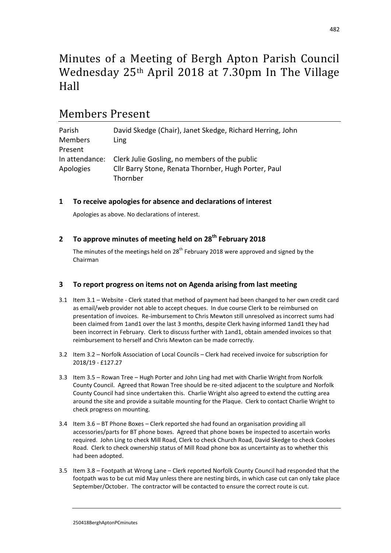# Minutes of a Meeting of Bergh Apton Parish Council Wednesday 25th April 2018 at 7.30pm In The Village Hall

## Members Present

| Parish         | David Skedge (Chair), Janet Skedge, Richard Herring, John |
|----------------|-----------------------------------------------------------|
| <b>Members</b> | Ling                                                      |
| Present        |                                                           |
| In attendance: | Clerk Julie Gosling, no members of the public             |
| Apologies      | Cllr Barry Stone, Renata Thornber, Hugh Porter, Paul      |
|                | Thornber                                                  |

## **1 To receive apologies for absence and declarations of interest**

Apologies as above. No declarations of interest.

## **2 To approve minutes of meeting held on 28th February 2018**

The minutes of the meetings held on  $28<sup>th</sup>$  February 2018 were approved and signed by the Chairman

## **3 To report progress on items not on Agenda arising from last meeting**

- 3.1 Item 3.1 Website Clerk stated that method of payment had been changed to her own credit card as email/web provider not able to accept cheques. In due course Clerk to be reimbursed on presentation of invoices. Re-imbursement to Chris Mewton still unresolved as incorrect sums had been claimed from 1and1 over the last 3 months, despite Clerk having informed 1and1 they had been incorrect in February. Clerk to discuss further with 1and1, obtain amended invoices so that reimbursement to herself and Chris Mewton can be made correctly.
- 3.2 Item 3.2 Norfolk Association of Local Councils Clerk had received invoice for subscription for 2018/19 - £127.27
- 3.3 Item 3.5 Rowan Tree Hugh Porter and John Ling had met with Charlie Wright from Norfolk County Council. Agreed that Rowan Tree should be re-sited adjacent to the sculpture and Norfolk County Council had since undertaken this. Charlie Wright also agreed to extend the cutting area around the site and provide a suitable mounting for the Plaque. Clerk to contact Charlie Wright to check progress on mounting.
- 3.4 Item 3.6 BT Phone Boxes Clerk reported she had found an organisation providing all accessories/parts for BT phone boxes. Agreed that phone boxes be inspected to ascertain works required. John Ling to check Mill Road, Clerk to check Church Road, David Skedge to check Cookes Road. Clerk to check ownership status of Mill Road phone box as uncertainty as to whether this had been adopted.
- 3.5 Item 3.8 Footpath at Wrong Lane Clerk reported Norfolk County Council had responded that the footpath was to be cut mid May unless there are nesting birds, in which case cut can only take place September/October. The contractor will be contacted to ensure the correct route is cut.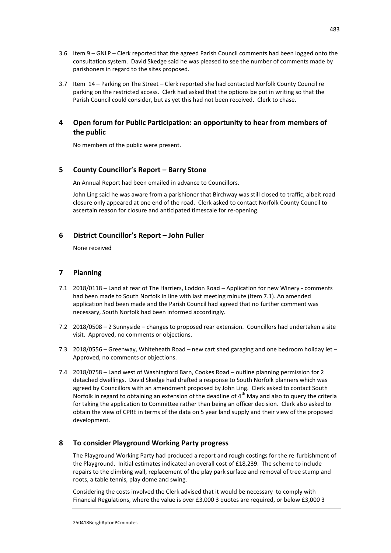- 3.6 Item 9 GNLP Clerk reported that the agreed Parish Council comments had been logged onto the consultation system. David Skedge said he was pleased to see the number of comments made by parishoners in regard to the sites proposed.
- 3.7 Item 14 Parking on The Street Clerk reported she had contacted Norfolk County Council re parking on the restricted access. Clerk had asked that the options be put in writing so that the Parish Council could consider, but as yet this had not been received. Clerk to chase.

## **4 Open forum for Public Participation: an opportunity to hear from members of the public**

No members of the public were present.

#### **5 County Councillor's Report – Barry Stone**

An Annual Report had been emailed in advance to Councillors.

John Ling said he was aware from a parishioner that Birchway was still closed to traffic, albeit road closure only appeared at one end of the road. Clerk asked to contact Norfolk County Council to ascertain reason for closure and anticipated timescale for re-opening.

#### **6 District Councillor's Report – John Fuller**

None received

#### **7 Planning**

- 7.1 2018/0118 Land at rear of The Harriers, Loddon Road Application for new Winery comments had been made to South Norfolk in line with last meeting minute (Item 7.1). An amended application had been made and the Parish Council had agreed that no further comment was necessary, South Norfolk had been informed accordingly.
- 7.2 2018/0508 2 Sunnyside changes to proposed rear extension. Councillors had undertaken a site visit. Approved, no comments or objections.
- 7.3 2018/0556 Greenway, Whiteheath Road new cart shed garaging and one bedroom holiday let Approved, no comments or objections.
- 7.4 2018/0758 Land west of Washingford Barn, Cookes Road outline planning permission for 2 detached dwellings. David Skedge had drafted a response to South Norfolk planners which was agreed by Councillors with an amendment proposed by John Ling. Clerk asked to contact South Norfolk in regard to obtaining an extension of the deadline of  $4<sup>th</sup>$  May and also to query the criteria for taking the application to Committee rather than being an officer decision. Clerk also asked to obtain the view of CPRE in terms of the data on 5 year land supply and their view of the proposed development.

#### **8 To consider Playground Working Party progress**

The Playground Working Party had produced a report and rough costings for the re-furbishment of the Playground. Initial estimates indicated an overall cost of £18,239. The scheme to include repairs to the climbing wall, replacement of the play park surface and removal of tree stump and roots, a table tennis, play dome and swing.

Considering the costs involved the Clerk advised that it would be necessary to comply with Financial Regulations, where the value is over £3,000 3 quotes are required, or below £3,000 3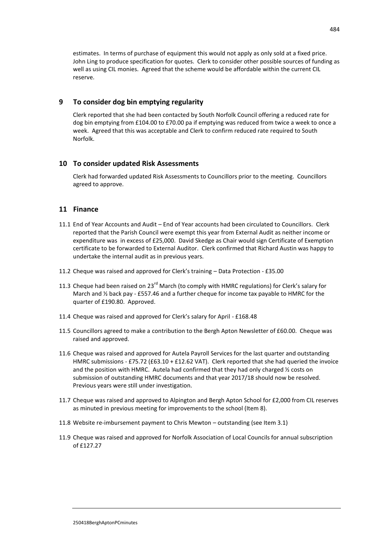estimates. In terms of purchase of equipment this would not apply as only sold at a fixed price. John Ling to produce specification for quotes. Clerk to consider other possible sources of funding as well as using CIL monies. Agreed that the scheme would be affordable within the current CIL reserve.

#### **9 To consider dog bin emptying regularity**

Clerk reported that she had been contacted by South Norfolk Council offering a reduced rate for dog bin emptying from £104.00 to £70.00 pa if emptying was reduced from twice a week to once a week. Agreed that this was acceptable and Clerk to confirm reduced rate required to South Norfolk.

#### **10 To consider updated Risk Assessments**

Clerk had forwarded updated Risk Assessments to Councillors prior to the meeting. Councillors agreed to approve.

#### **11 Finance**

- 11.1 End of Year Accounts and Audit End of Year accounts had been circulated to Councillors. Clerk reported that the Parish Council were exempt this year from External Audit as neither income or expenditure was in excess of £25,000. David Skedge as Chair would sign Certificate of Exemption certificate to be forwarded to External Auditor. Clerk confirmed that Richard Austin was happy to undertake the internal audit as in previous years.
- 11.2 Cheque was raised and approved for Clerk's training Data Protection £35.00
- 11.3 Cheque had been raised on 23<sup>rd</sup> March (to comply with HMRC regulations) for Clerk's salary for March and ½ back pay - £557.46 and a further cheque for income tax payable to HMRC for the quarter of £190.80. Approved.
- 11.4 Cheque was raised and approved for Clerk's salary for April £168.48
- 11.5 Councillors agreed to make a contribution to the Bergh Apton Newsletter of £60.00. Cheque was raised and approved.
- 11.6 Cheque was raised and approved for Autela Payroll Services for the last quarter and outstanding HMRC submissions - £75.72 (£63.10 + £12.62 VAT). Clerk reported that she had queried the invoice and the position with HMRC. Autela had confirmed that they had only charged  $\frac{1}{2}$  costs on submission of outstanding HMRC documents and that year 2017/18 should now be resolved. Previous years were still under investigation.
- 11.7 Cheque was raised and approved to Alpington and Bergh Apton School for £2,000 from CIL reserves as minuted in previous meeting for improvements to the school (Item 8).
- 11.8 Website re-imbursement payment to Chris Mewton outstanding (see Item 3.1)
- 11.9 Cheque was raised and approved for Norfolk Association of Local Councils for annual subscription of  $f127.27$